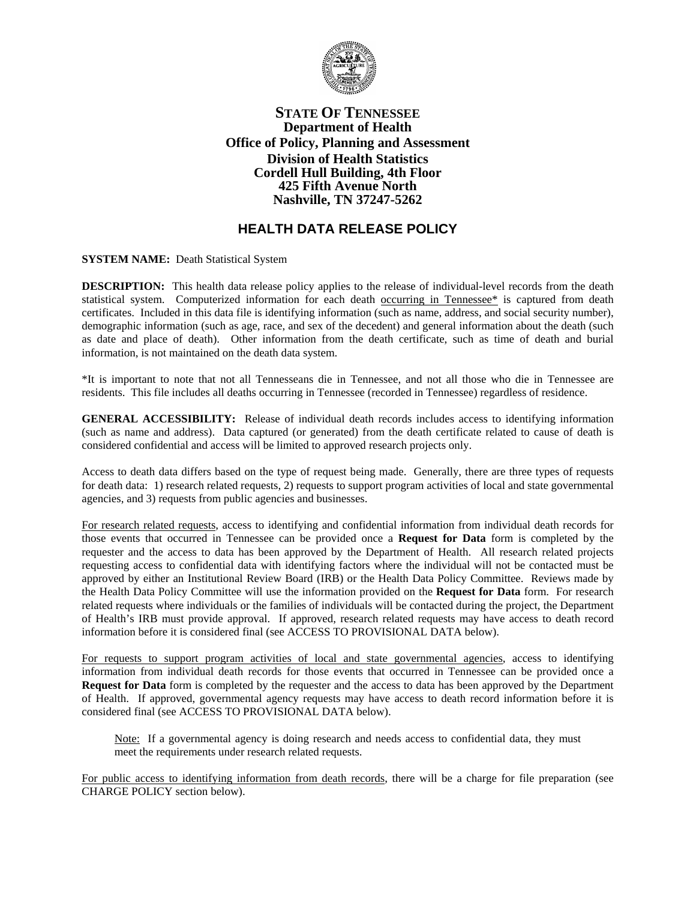

## **STATE OF TENNESSEE Department of Health Office of Policy, Planning and Assessment Division of Health Statistics Cordell Hull Building, 4th Floor 425 Fifth Avenue North Nashville, TN 37247-5262**

## **HEALTH DATA RELEASE POLICY**

**SYSTEM NAME:** Death Statistical System

**DESCRIPTION:** This health data release policy applies to the release of individual-level records from the death statistical system. Computerized information for each death occurring in Tennessee\* is captured from death certificates. Included in this data file is identifying information (such as name, address, and social security number), demographic information (such as age, race, and sex of the decedent) and general information about the death (such as date and place of death). Other information from the death certificate, such as time of death and burial information, is not maintained on the death data system.

\*It is important to note that not all Tennesseans die in Tennessee, and not all those who die in Tennessee are residents. This file includes all deaths occurring in Tennessee (recorded in Tennessee) regardless of residence.

**GENERAL ACCESSIBILITY:** Release of individual death records includes access to identifying information (such as name and address). Data captured (or generated) from the death certificate related to cause of death is considered confidential and access will be limited to approved research projects only.

Access to death data differs based on the type of request being made. Generally, there are three types of requests for death data: 1) research related requests, 2) requests to support program activities of local and state governmental agencies, and 3) requests from public agencies and businesses.

For research related requests, access to identifying and confidential information from individual death records for those events that occurred in Tennessee can be provided once a **Request for Data** form is completed by the requester and the access to data has been approved by the Department of Health. All research related projects requesting access to confidential data with identifying factors where the individual will not be contacted must be approved by either an Institutional Review Board (IRB) or the Health Data Policy Committee. Reviews made by the Health Data Policy Committee will use the information provided on the **Request for Data** form. For research related requests where individuals or the families of individuals will be contacted during the project, the Department of Health's IRB must provide approval. If approved, research related requests may have access to death record information before it is considered final (see ACCESS TO PROVISIONAL DATA below).

For requests to support program activities of local and state governmental agencies, access to identifying information from individual death records for those events that occurred in Tennessee can be provided once a **Request for Data** form is completed by the requester and the access to data has been approved by the Department of Health. If approved, governmental agency requests may have access to death record information before it is considered final (see ACCESS TO PROVISIONAL DATA below).

Note: If a governmental agency is doing research and needs access to confidential data, they must meet the requirements under research related requests.

For public access to identifying information from death records, there will be a charge for file preparation (see CHARGE POLICY section below).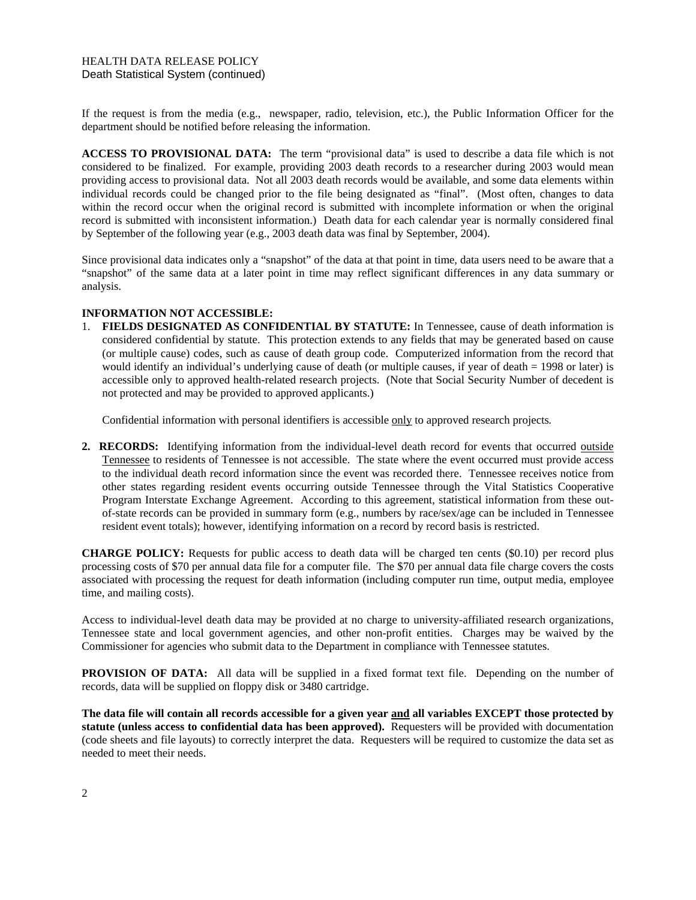If the request is from the media (e.g., newspaper, radio, television, etc.), the Public Information Officer for the department should be notified before releasing the information.

**ACCESS TO PROVISIONAL DATA:** The term "provisional data" is used to describe a data file which is not considered to be finalized. For example, providing 2003 death records to a researcher during 2003 would mean providing access to provisional data. Not all 2003 death records would be available, and some data elements within individual records could be changed prior to the file being designated as "final". (Most often, changes to data within the record occur when the original record is submitted with incomplete information or when the original record is submitted with inconsistent information.) Death data for each calendar year is normally considered final by September of the following year (e.g., 2003 death data was final by September, 2004).

Since provisional data indicates only a "snapshot" of the data at that point in time, data users need to be aware that a "snapshot" of the same data at a later point in time may reflect significant differences in any data summary or analysis.

## **INFORMATION NOT ACCESSIBLE:**

1. **FIELDS DESIGNATED AS CONFIDENTIAL BY STATUTE:** In Tennessee, cause of death information is considered confidential by statute. This protection extends to any fields that may be generated based on cause (or multiple cause) codes, such as cause of death group code. Computerized information from the record that would identify an individual's underlying cause of death (or multiple causes, if year of death = 1998 or later) is accessible only to approved health-related research projects. (Note that Social Security Number of decedent is not protected and may be provided to approved applicants.)

Confidential information with personal identifiers is accessible only to approved research projects*.* 

**2. RECORDS:** Identifying information from the individual-level death record for events that occurred outside Tennessee to residents of Tennessee is not accessible. The state where the event occurred must provide access to the individual death record information since the event was recorded there. Tennessee receives notice from other states regarding resident events occurring outside Tennessee through the Vital Statistics Cooperative Program Interstate Exchange Agreement. According to this agreement, statistical information from these outof-state records can be provided in summary form (e.g., numbers by race/sex/age can be included in Tennessee resident event totals); however, identifying information on a record by record basis is restricted.

**CHARGE POLICY:** Requests for public access to death data will be charged ten cents (\$0.10) per record plus processing costs of \$70 per annual data file for a computer file. The \$70 per annual data file charge covers the costs associated with processing the request for death information (including computer run time, output media, employee time, and mailing costs).

Access to individual-level death data may be provided at no charge to university-affiliated research organizations, Tennessee state and local government agencies, and other non-profit entities. Charges may be waived by the Commissioner for agencies who submit data to the Department in compliance with Tennessee statutes.

**PROVISION OF DATA:** All data will be supplied in a fixed format text file. Depending on the number of records, data will be supplied on floppy disk or 3480 cartridge.

**The data file will contain all records accessible for a given year and all variables EXCEPT those protected by statute (unless access to confidential data has been approved).** Requesters will be provided with documentation (code sheets and file layouts) to correctly interpret the data. Requesters will be required to customize the data set as needed to meet their needs.